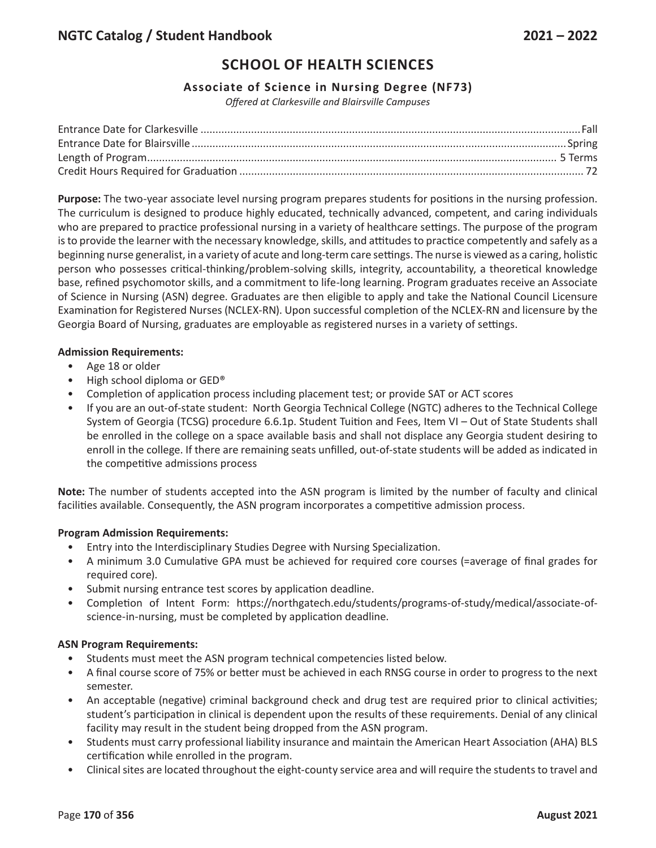# **SCHOOL OF HEALTH SCIENCES**

### **Associate of Science in Nursing Degree (NF73)**

*Offered at Clarkesville and Blairsville Campuses*

**Purpose:** The two-year associate level nursing program prepares students for positions in the nursing profession. The curriculum is designed to produce highly educated, technically advanced, competent, and caring individuals who are prepared to practice professional nursing in a variety of healthcare settings. The purpose of the program is to provide the learner with the necessary knowledge, skills, and attitudes to practice competently and safely as a beginning nurse generalist, in a variety of acute and long-term care settings. The nurse is viewed as a caring, holistic person who possesses critical-thinking/problem-solving skills, integrity, accountability, a theoretical knowledge base, refined psychomotor skills, and a commitment to life-long learning. Program graduates receive an Associate of Science in Nursing (ASN) degree. Graduates are then eligible to apply and take the National Council Licensure Examination for Registered Nurses (NCLEX-RN). Upon successful completion of the NCLEX-RN and licensure by the Georgia Board of Nursing, graduates are employable as registered nurses in a variety of settings.

#### **Admission Requirements:**

- Age 18 or older
- High school diploma or GED®
- Completion of application process including placement test; or provide SAT or ACT scores
- If you are an out-of-state student: North Georgia Technical College (NGTC) adheres to the Technical College System of Georgia (TCSG) procedure 6.6.1p. Student Tuition and Fees, Item VI – Out of State Students shall be enrolled in the college on a space available basis and shall not displace any Georgia student desiring to enroll in the college. If there are remaining seats unfilled, out-of-state students will be added as indicated in the competitive admissions process

**Note:** The number of students accepted into the ASN program is limited by the number of faculty and clinical facilities available. Consequently, the ASN program incorporates a competitive admission process.

### **Program Admission Requirements:**

- Entry into the Interdisciplinary Studies Degree with Nursing Specialization.
- A minimum 3.0 Cumulative GPA must be achieved for required core courses (=average of final grades for required core).
- Submit nursing entrance test scores by application deadline.
- Completion of Intent Form: https://northgatech.edu/students/programs-of-study/medical/associate-ofscience-in-nursing, must be completed by application deadline.

### **ASN Program Requirements:**

- Students must meet the ASN program technical competencies listed below.
- A final course score of 75% or better must be achieved in each RNSG course in order to progress to the next semester.
- An acceptable (negative) criminal background check and drug test are required prior to clinical activities; student's participation in clinical is dependent upon the results of these requirements. Denial of any clinical facility may result in the student being dropped from the ASN program.
- Students must carry professional liability insurance and maintain the American Heart Association (AHA) BLS certification while enrolled in the program.
- Clinical sites are located throughout the eight-county service area and will require the students to travel and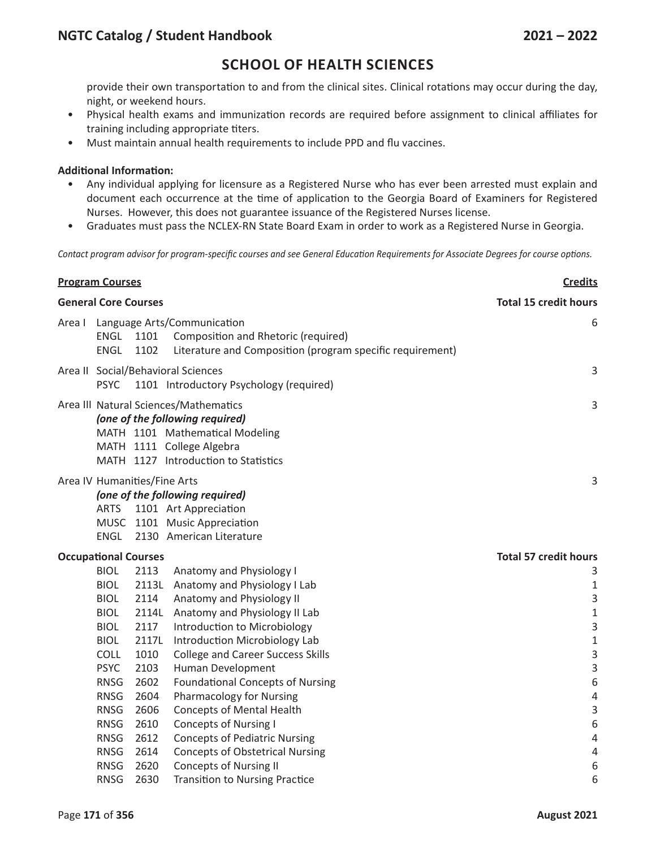## **NGTC Catalog / Student Handbook 2021 – 2022**

### **SCHOOL OF HEALTH SCIENCES**

provide their own transportation to and from the clinical sites. Clinical rotations may occur during the day, night, or weekend hours.

- Physical health exams and immunization records are required before assignment to clinical affiliates for training including appropriate titers.
- Must maintain annual health requirements to include PPD and flu vaccines.

#### **Additional Information:**

- Any individual applying for licensure as a Registered Nurse who has ever been arrested must explain and document each occurrence at the time of application to the Georgia Board of Examiners for Registered Nurses. However, this does not guarantee issuance of the Registered Nurses license.
- Graduates must pass the NCLEX-RN State Board Exam in order to work as a Registered Nurse in Georgia.

Contact program advisor for program-specific courses and see General Education Requirements for Associate Degrees for course options.

| <b>Program Courses</b>      |                                                                                              |               |                                                                                                                                                                                  | <b>Credits</b>               |  |  |
|-----------------------------|----------------------------------------------------------------------------------------------|---------------|----------------------------------------------------------------------------------------------------------------------------------------------------------------------------------|------------------------------|--|--|
| <b>General Core Courses</b> |                                                                                              |               |                                                                                                                                                                                  | <b>Total 15 credit hours</b> |  |  |
| Area I                      | ENGL<br><b>ENGL</b>                                                                          | 1101<br>1102  | Language Arts/Communication<br>Composition and Rhetoric (required)<br>Literature and Composition (program specific requirement)                                                  | 6                            |  |  |
|                             | Area II Social/Behavioral Sciences<br><b>PSYC</b><br>1101 Introductory Psychology (required) |               |                                                                                                                                                                                  |                              |  |  |
|                             |                                                                                              |               | Area III Natural Sciences/Mathematics<br>(one of the following required)<br>MATH 1101 Mathematical Modeling<br>MATH 1111 College Algebra<br>MATH 1127 Introduction to Statistics | 3                            |  |  |
|                             | Area IV Humanities/Fine Arts<br><b>ARTS</b><br><b>ENGL</b>                                   |               | (one of the following required)<br>1101 Art Appreciation<br>MUSC 1101 Music Appreciation<br>2130 American Literature                                                             | 3                            |  |  |
| <b>Occupational Courses</b> |                                                                                              |               |                                                                                                                                                                                  | <b>Total 57 credit hours</b> |  |  |
|                             | <b>BIOL</b>                                                                                  | 2113          | Anatomy and Physiology I                                                                                                                                                         | 3                            |  |  |
|                             | <b>BIOL</b>                                                                                  |               | 2113L Anatomy and Physiology I Lab                                                                                                                                               | $1\,$                        |  |  |
|                             | <b>BIOL</b>                                                                                  | 2114          | Anatomy and Physiology II                                                                                                                                                        | 3                            |  |  |
|                             | <b>BIOL</b>                                                                                  | 2114L         | Anatomy and Physiology II Lab                                                                                                                                                    | $\mathbf 1$                  |  |  |
|                             | <b>BIOL</b><br><b>BIOL</b>                                                                   | 2117<br>2117L | Introduction to Microbiology                                                                                                                                                     | 3<br>$\mathbf 1$             |  |  |
|                             | <b>COLL</b>                                                                                  | 1010          | Introduction Microbiology Lab<br><b>College and Career Success Skills</b>                                                                                                        | 3                            |  |  |
|                             | <b>PSYC</b>                                                                                  | 2103          | Human Development                                                                                                                                                                | 3                            |  |  |
|                             | <b>RNSG</b>                                                                                  | 2602          | <b>Foundational Concepts of Nursing</b>                                                                                                                                          | 6                            |  |  |
|                             | <b>RNSG</b>                                                                                  | 2604          | <b>Pharmacology for Nursing</b>                                                                                                                                                  | $\sqrt{4}$                   |  |  |
|                             | <b>RNSG</b>                                                                                  | 2606          | <b>Concepts of Mental Health</b>                                                                                                                                                 | $\overline{3}$               |  |  |
|                             | <b>RNSG</b>                                                                                  | 2610          | <b>Concepts of Nursing I</b>                                                                                                                                                     | $\,6\,$                      |  |  |
|                             | <b>RNSG</b>                                                                                  | 2612          | <b>Concepts of Pediatric Nursing</b>                                                                                                                                             | $\overline{4}$               |  |  |
|                             | <b>RNSG</b>                                                                                  | 2614          | <b>Concepts of Obstetrical Nursing</b>                                                                                                                                           | $\sqrt{4}$                   |  |  |
|                             | <b>RNSG</b>                                                                                  | 2620          | <b>Concepts of Nursing II</b>                                                                                                                                                    | $\,6\,$                      |  |  |
|                             | <b>RNSG</b>                                                                                  | 2630          | <b>Transition to Nursing Practice</b>                                                                                                                                            | 6                            |  |  |